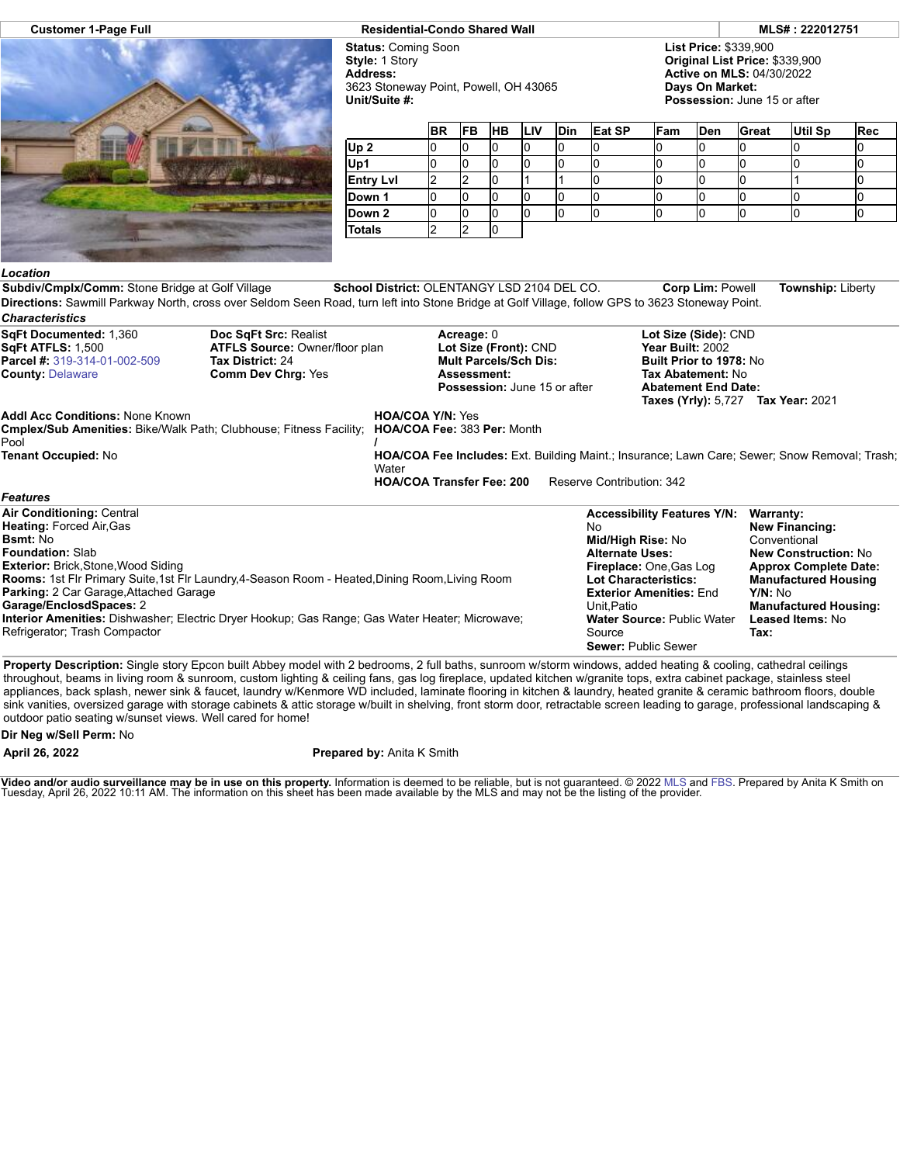

**Customer 1-Page Full Residential-Condo Shared Wall MLS# : 222012751**

**Status:** Coming Soon **Style:** 1 Story **Address:** 3623 Stoneway Point, Powell, OH 43065 **Unit/Suite #:**

**List Price:** \$339,900 **Original List Price:** \$339,900 **Active on MLS:** 04/30/2022 **Days On Market:**

**Possession:** June 15 or after

|                  | <b>BR</b> | <b>FB</b> | <b>HB</b> | <b>LIV</b> | <b>Din</b> | <b>Eat SP</b> | Fam | Den | Great | <b>Util Sp</b> | <b>Rec</b> |
|------------------|-----------|-----------|-----------|------------|------------|---------------|-----|-----|-------|----------------|------------|
| Up <sub>2</sub>  |           |           | Ю         |            |            |               |     |     |       |                |            |
| Up1              |           | N         | 10        |            |            |               |     |     |       |                |            |
| <b>Entry Lvl</b> |           |           | ιU        |            |            |               |     |     |       |                |            |
| Down 1           |           | <b>U</b>  | 10        |            |            |               |     |     |       |                |            |
| Down 2           |           |           | IO        |            |            |               |     |     |       |                |            |
| <b>Totals</b>    |           |           | 10        |            |            |               |     |     |       |                |            |

## *Location*

**Subdiv/Cmplx/Comm:** Stone Bridge at Golf Village **School District:** OLENTANGY LSD 2104 DEL CO. **Corp Lim:** Powell **Township:** Liberty **Directions:** Sawmill Parkway North, cross over Seldom Seen Road, turn left into Stone Bridge at Golf Village, follow GPS to 3623 Stoneway Point. *Characteristics*

| SqFt Documented: 1,360<br><b>SqFt ATFLS: 1,500</b><br><b>Parcel #:</b> 319-314-01-002-509<br><b>County: Delaware</b>                                                                                                                                                                                                                                                                                                                                                       | <b>ATFLS Source: Owner/floor plan</b> | Acreage: 0<br>Lot Size (Front): CND<br><b>Mult Parcels/Sch Dis:</b><br><b>Assessment:</b><br><b>Possession: June 15 or after</b> |                                                                 | Lot Size (Side): CND<br>Year Built: 2002<br>Built Prior to 1978: No<br>Tax Abatement: No<br><b>Abatement End Date:</b><br><b>Taxes (Yrly): 5.727 Tax Year: 2021</b> |                                                                                                                                                                                                                        |                                                                                                                                                                                                                         |
|----------------------------------------------------------------------------------------------------------------------------------------------------------------------------------------------------------------------------------------------------------------------------------------------------------------------------------------------------------------------------------------------------------------------------------------------------------------------------|---------------------------------------|----------------------------------------------------------------------------------------------------------------------------------|-----------------------------------------------------------------|---------------------------------------------------------------------------------------------------------------------------------------------------------------------|------------------------------------------------------------------------------------------------------------------------------------------------------------------------------------------------------------------------|-------------------------------------------------------------------------------------------------------------------------------------------------------------------------------------------------------------------------|
| <b>Addl Acc Conditions: None Known</b><br><b>Cmplex/Sub Amenities:</b> Bike/Walk Path; Clubhouse; Fitness Facility;<br>Pool<br>Tenant Occupied: No<br><b>Features</b>                                                                                                                                                                                                                                                                                                      |                                       | <b>HOA/COA Y/N: Yes</b><br>Water                                                                                                 | HOA/COA Fee: 383 Per: Month<br><b>HOA/COA Transfer Fee: 200</b> | Reserve Contribution: 342                                                                                                                                           |                                                                                                                                                                                                                        | <b>HOA/COA Fee Includes:</b> Ext. Building Maint.; Insurance; Lawn Care; Sewer; Snow Removal; Trash;                                                                                                                    |
| <b>Air Conditioning: Central</b><br>Heating: Forced Air, Gas<br><b>Bsmt: No</b><br><b>Foundation: Slab</b><br><b>Exterior: Brick, Stone, Wood Siding</b><br>Rooms: 1st Flr Primary Suite, 1st Flr Laundry, 4-Season Room - Heated, Dining Room, Living Room<br><b>Parking: 2 Car Garage, Attached Garage</b><br>Garage/EnclosdSpaces: 2<br>Interior Amenities: Dishwasher; Electric Dryer Hookup; Gas Range; Gas Water Heater; Microwave;<br>Refrigerator; Trash Compactor |                                       |                                                                                                                                  |                                                                 | No.<br><b>Alternate Uses:</b><br>Unit, Patio<br>Source                                                                                                              | <b>Accessibility Features Y/N:</b><br>Mid/High Rise: No<br>Fireplace: One, Gas Log<br><b>Lot Characteristics:</b><br><b>Exterior Amenities: End</b><br><b>Water Source: Public Water</b><br><b>Sewer: Public Sewer</b> | Warranty:<br><b>New Financing:</b><br>Conventional<br><b>New Construction: No</b><br><b>Approx Complete Date:</b><br><b>Manufactured Housing</b><br>Y/N: No<br><b>Manufactured Housing:</b><br>Leased Items: No<br>Tax: |

**Property Description:** Single story Epcon built Abbey model with 2 bedrooms, 2 full baths, sunroom w/storm windows, added heating & cooling, cathedral ceilings throughout, beams in living room & sunroom, custom lighting & ceiling fans, gas log fireplace, updated kitchen w/granite tops, extra cabinet package, stainless steel appliances, back splash, newer sink & faucet, laundry w/Kenmore WD included, laminate flooring in kitchen & laundry, heated granite & ceramic bathroom floors, double sink vanities, oversized garage with storage cabinets & attic storage w/built in shelving, front storm door, retractable screen leading to garage, professional landscaping & outdoor patio seating w/sunset views. Well cared for home!

## **Dir Neg w/Sell Perm:** No

**April 26, 2022 Prepared by:** Anita K Smith

**Video and/or audio surveillance may be in use on this property.** Information is deemed to be reliable, but is not guaranteed. © 2022 [MLS](http://www.columbusrealtors.com/) and [FBS](http://www.flexmls.com/copyright_notice.html?2). Prepared by Anita K Smith on<br>Tuesday, April 26, 2022 10:11 AM. The informat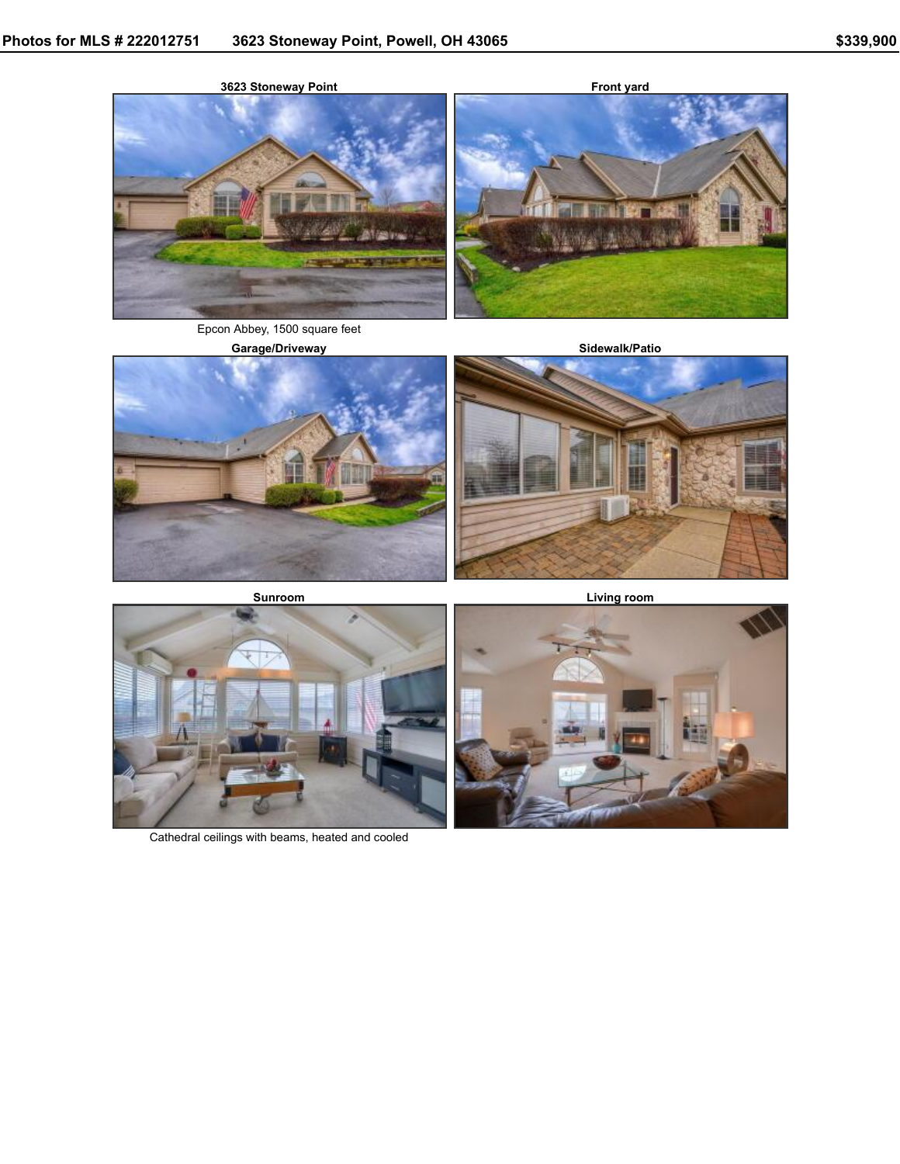

Epcon Abbey, 1500 square feet







**Living room**



Cathedral ceilings with beams, heated and cooled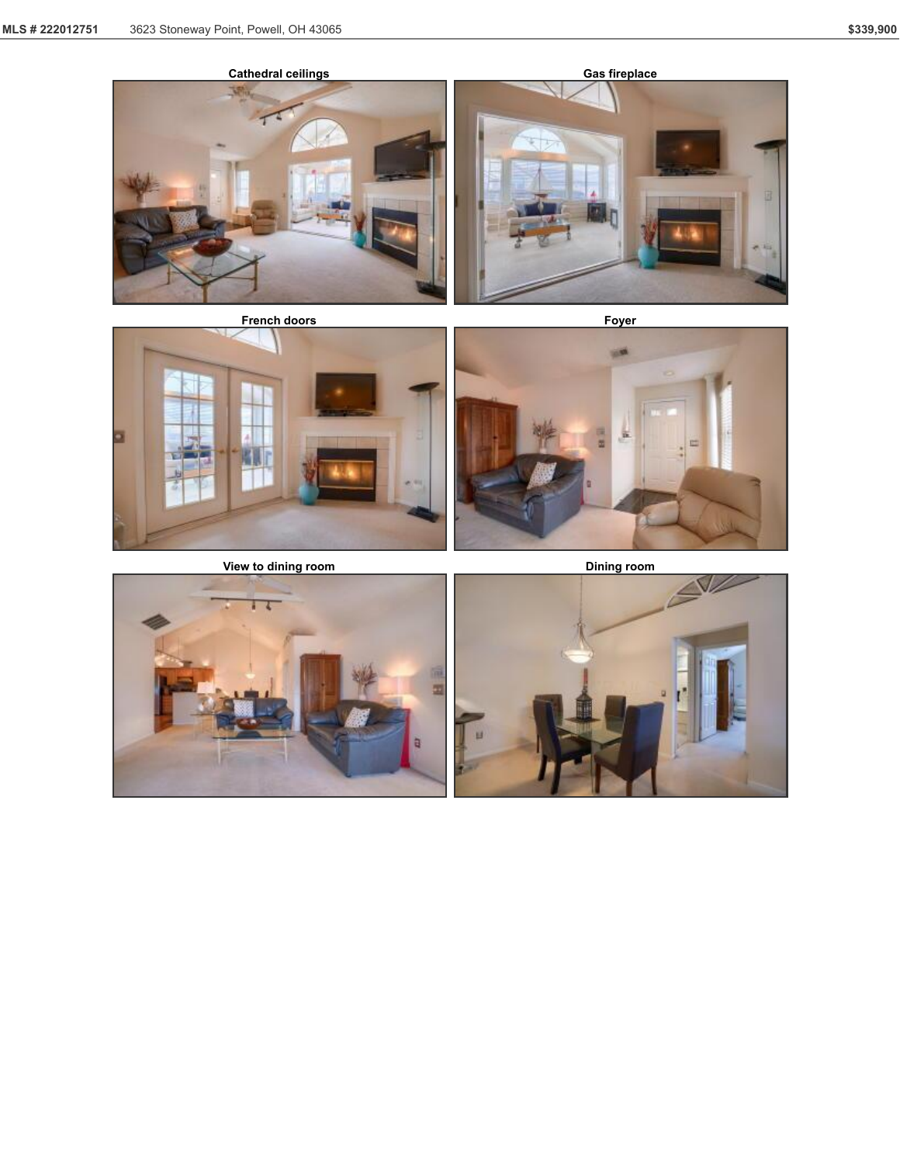







![](_page_2_Picture_11.jpeg)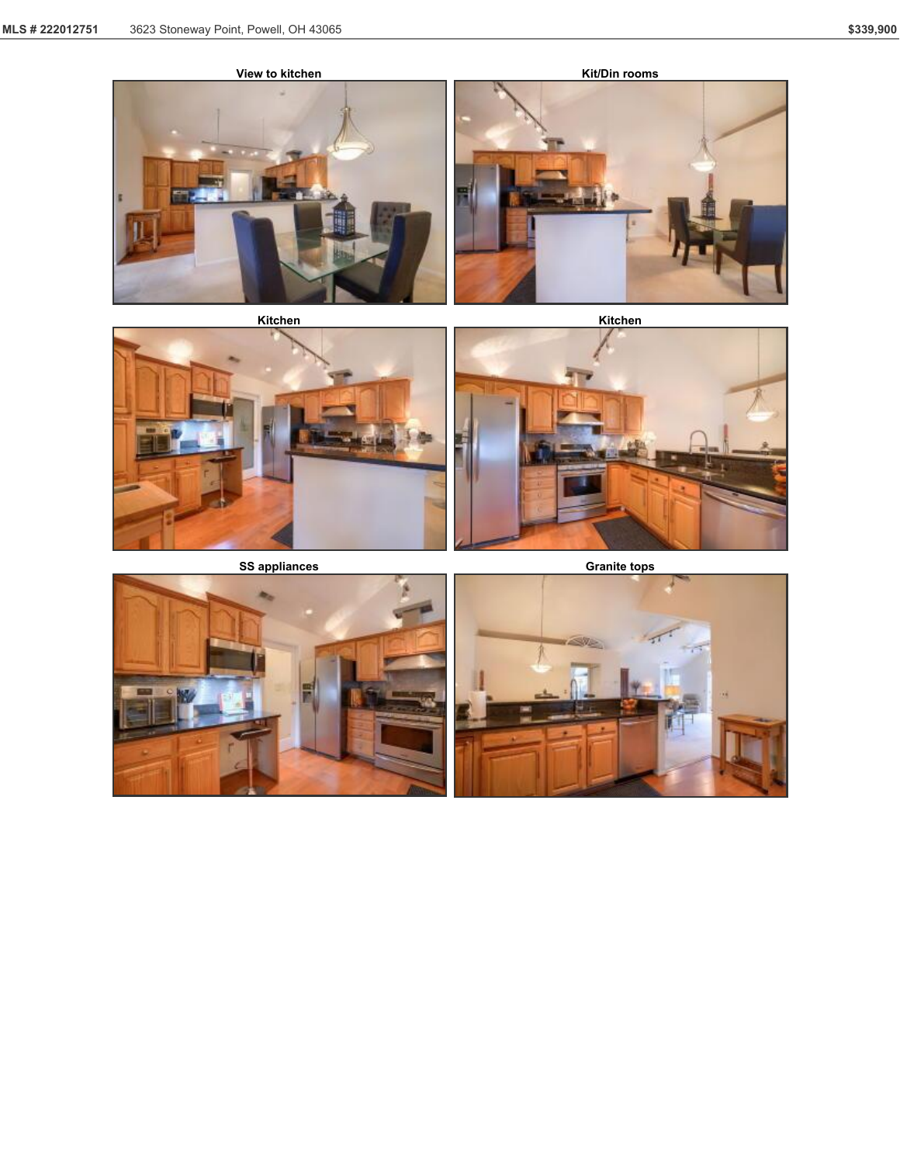![](_page_3_Picture_2.jpeg)

![](_page_3_Picture_4.jpeg)

![](_page_3_Picture_7.jpeg)

![](_page_3_Picture_8.jpeg)

![](_page_3_Picture_9.jpeg)

![](_page_3_Picture_11.jpeg)

![](_page_3_Picture_12.jpeg)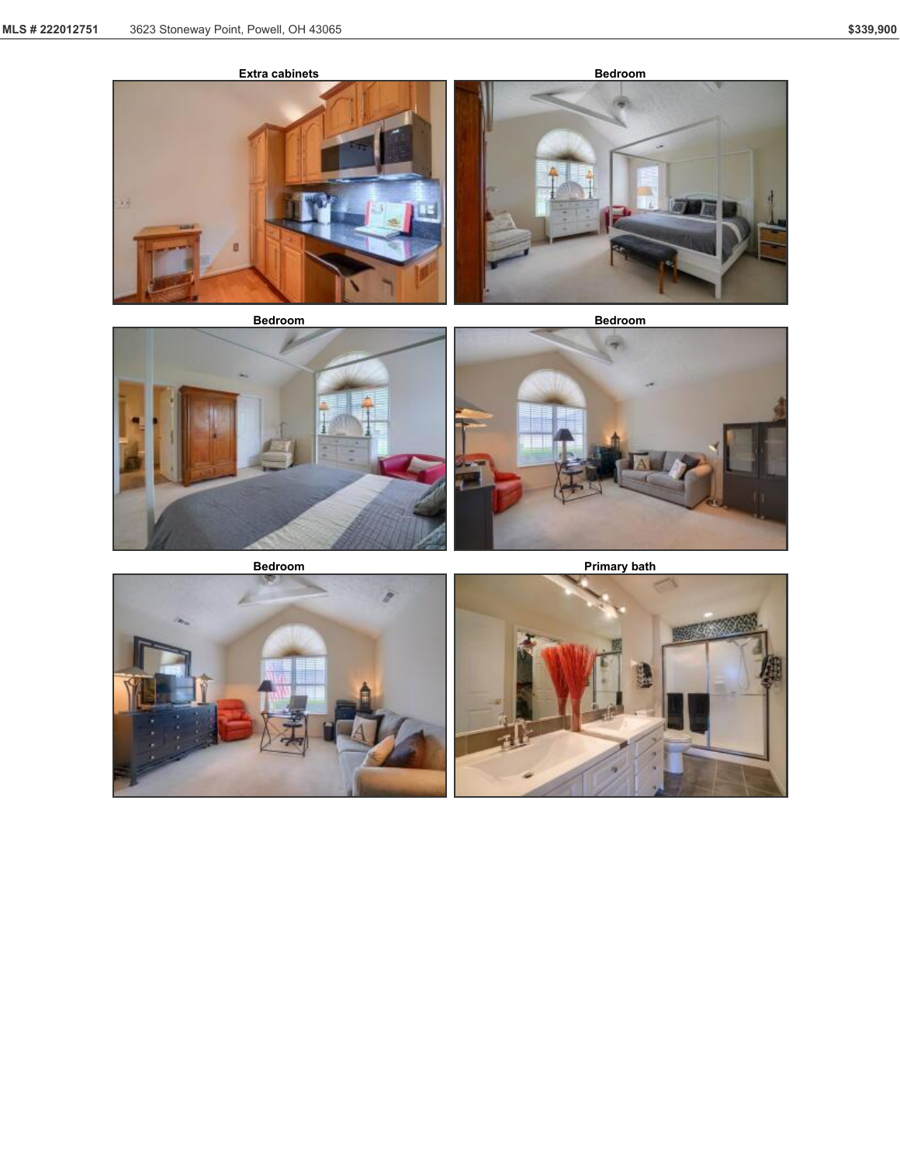![](_page_4_Picture_2.jpeg)

![](_page_4_Picture_4.jpeg)

**Bedroom Bedroom**

![](_page_4_Picture_7.jpeg)

![](_page_4_Picture_10.jpeg)

![](_page_4_Picture_11.jpeg)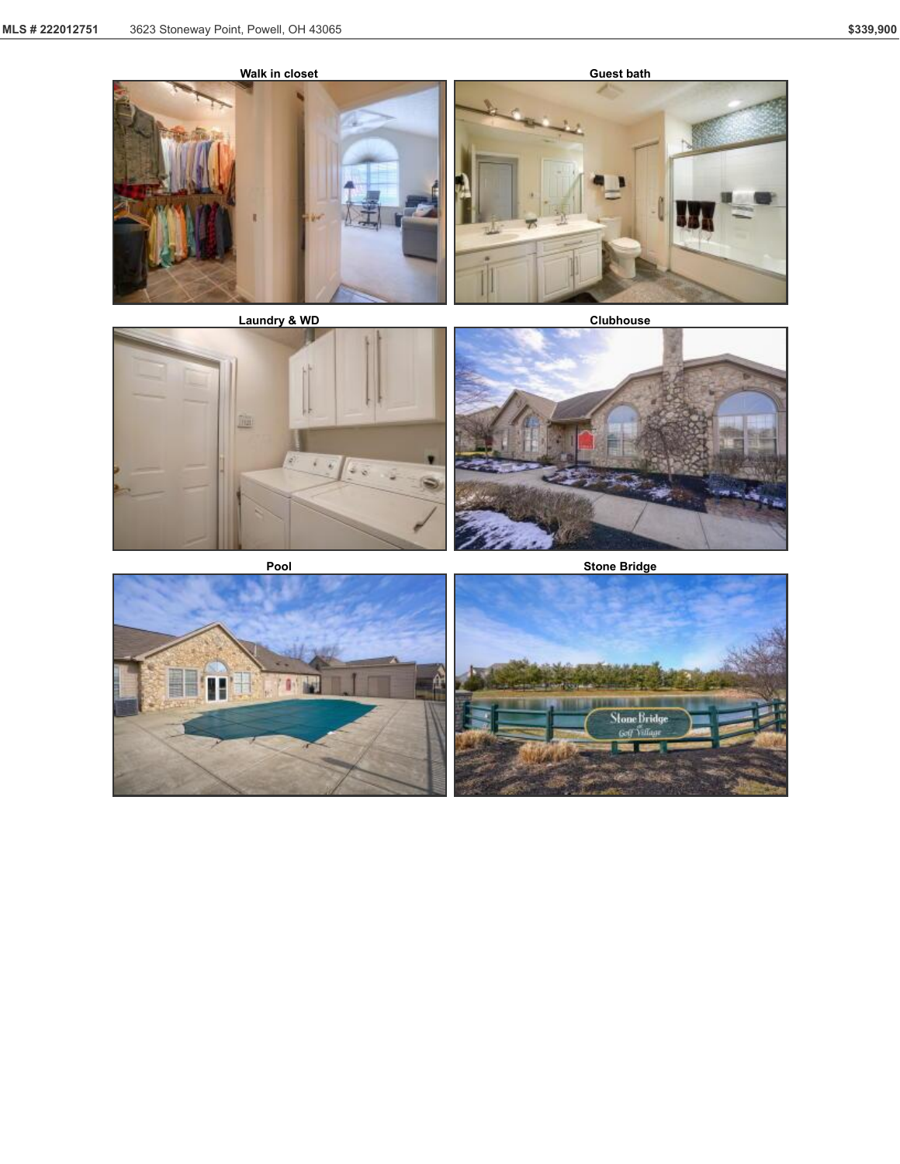![](_page_5_Picture_2.jpeg)

![](_page_5_Picture_4.jpeg)

![](_page_5_Picture_7.jpeg)

![](_page_5_Picture_10.jpeg)

![](_page_5_Picture_11.jpeg)